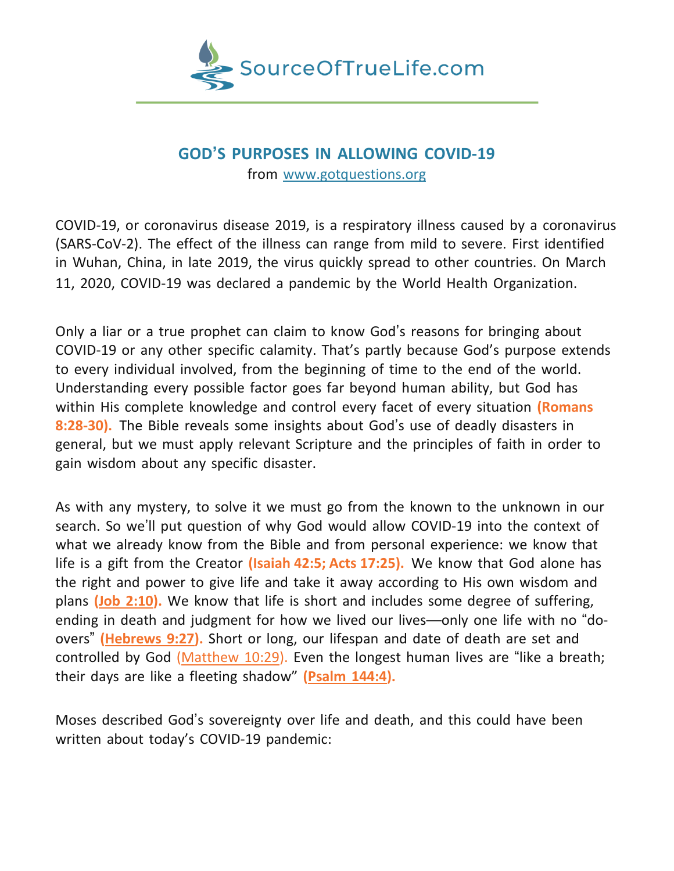

## **GOD'S PURPOSES IN ALLOWING COVID-19** from [www.gotquestions.org](http://www.gotquestions.org/)

COVID-19, or coronavirus disease 2019, is a respiratory illness caused by a coronavirus (SARS-CoV-2). The effect of the illness can range from mild to severe. First identified in Wuhan, China, in late 2019, the virus quickly spread to other countries. On March 11, 2020, COVID-19 was declared a pandemic by the World Health Organization.

Only a liar or a true prophet can claim to know God's reasons for bringing about COVID-19 or any other specific calamity. That's partly because God's purpose extends to every individual involved, from the beginning of time to the end of the world. Understanding every possible factor goes far beyond human ability, but God has within His complete knowledge and control every facet of every situation **(Romans 8:28-30).** The Bible reveals some insights about God's use of deadly disasters in general, but we must apply relevant Scripture and the principles of faith in order to gain wisdom about any specific disaster.

As with any mystery, to solve it we must go from the known to the unknown in our search. So we'll put question of why God would allow COVID-19 into the context of what we already know from the Bible and from personal experience: we know that life is a gift from the Creator **(Isaiah 42:5; Acts 17:25).** We know that God alone has the right and power to give life and take it away according to His own wisdom and plans **(Job [2:10\)](https://biblia.com/bible/esv/Job%202.10).** We know that life is short and includes some degree of suffering, ending in death and judgment for how we lived our lives—only one life with no "doovers" **[\(Hebrews](https://biblia.com/bible/esv/Heb%209.27) 9:27).** Short or long, our lifespan and date of death are set and controlled by God [\(Matthew](https://biblia.com/bible/esv/Matt%2010.29) 10:29). Even the longest human lives are "like a breath; their days are like a fleeting shadow" **[\(Psalm](https://biblia.com/bible/esv/Ps%20144.4) 144:4).**

Moses described God's sovereignty over life and death, and this could have been written about today's COVID-19 pandemic: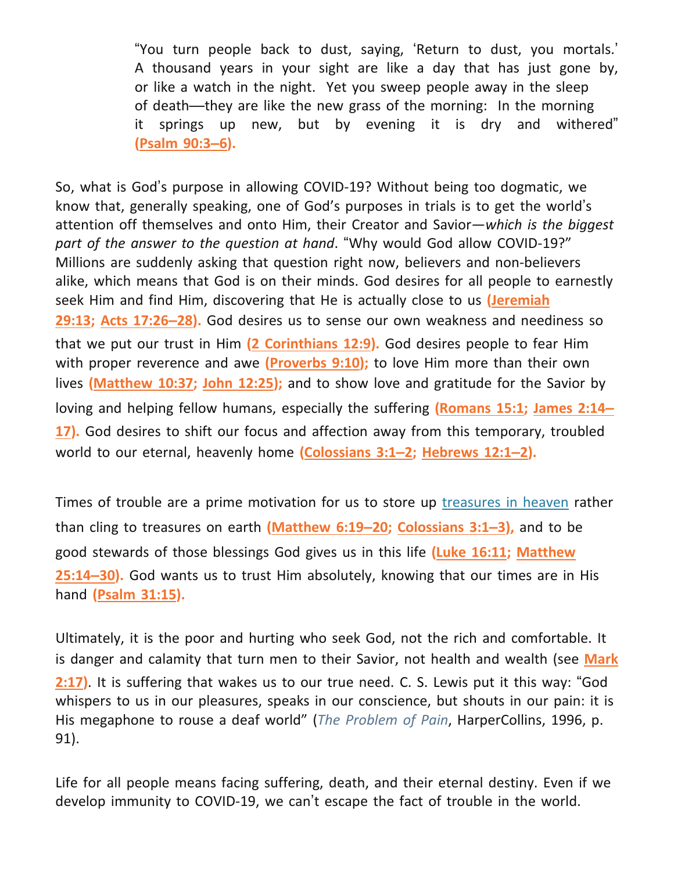"You turn people back to dust, saying, 'Return to dust, you mortals.' A thousand years in your sight are like a day that has just gone by, or like a watch in the night. Yet you sweep people away in the sleep of death—they are like the new grass of the morning: In the morning it springs up new, but by evening it is dry and withered" **[\(Psalm](https://biblia.com/bible/esv/Ps%2090.3%E2%80%936) 90:3–6).**

So, what is God's purpose in allowing COVID-19? Without being too dogmatic, we know that, generally speaking, one of God's purposes in trials is to get the world's attention off themselves and onto Him, their Creator and Savior—*which is the biggest part of the answer to the question at hand*. "Why would God allow COVID-19?" Millions are suddenly asking that question right now, believers and non-believers alike, which means that God is on their minds. God desires for all people to earnestly seek Him and find Him, discovering that He is actually close to us **[\(Jeremiah](https://biblia.com/bible/esv/Jer%2029.13)** **[29:13;](https://biblia.com/bible/esv/Jer%2029.13) Acts [17:26](https://biblia.com/bible/esv/Acts%2017.26%E2%80%9328)–28).** God desires us to sense our own weakness and neediness so that we put our trust in Him **(2 [Corinthians](https://biblia.com/bible/esv/2%20Cor%2012.9) 12:9).** God desires people to fear Him with proper reverence and awe **[\(Proverbs](https://biblia.com/bible/esv/Prov%209.10) 9:10);** to love Him more than their own lives **[\(Matthew](https://biblia.com/bible/esv/Matt%2010.37) 10:37; John [12:25\)](https://biblia.com/bible/esv/John%2012.25);** and to show love and gratitude for the Savior by loving and helping fellow humans, especially the suffering **[\(Romans](https://biblia.com/bible/esv/Rom%2015.1) 15:1; [James](https://biblia.com/bible/esv/James%202.14%E2%80%9317) 2:14[–](https://biblia.com/bible/esv/James%202.14%E2%80%9317) [17\)](https://biblia.com/bible/esv/James%202.14%E2%80%9317).** God desires to shift our focus and affection away from this temporary, troubled world to our eternal, heavenly home **[\(Colossians](https://biblia.com/bible/esv/Col%203.1%E2%80%932) 3:1–2; [Hebrews](https://biblia.com/bible/esv/Heb%2012.1%E2%80%932) 12:1–2).**

Times of trouble are a prime motivation for us to store up [treasures](https://www.gotquestions.org/treasures-in-heaven.html) in heaven rather than cling to treasures on earth **[\(Matthew](https://biblia.com/bible/esv/Matt%206.19%E2%80%9320) 6:19–20; [Colossians](https://biblia.com/bible/esv/Col%203.1%E2%80%933) 3:1–3),** and to be good stewards of those blessings God gives us in this life **(Luke [16:11;](https://biblia.com/bible/esv/Luke%2016.11) [Matthew](https://biblia.com/bible/esv/Matt%2025.14%E2%80%9330)** **[25:14](https://biblia.com/bible/esv/Matt%2025.14%E2%80%9330)–30).** God wants us to trust Him absolutely, knowing that our times are in His hand **[\(Psalm](https://biblia.com/bible/esv/Ps%2031.15) 31:15).**

Ultimately, it is the poor and hurting who seek God, not the rich and comfortable. It is danger and calamity that turn men to their Savior, not health and wealth (see **[Mark](https://biblia.com/bible/esv/Mark%202.17)** **[2:17\)](https://biblia.com/bible/esv/Mark%202.17)**. It is suffering that wakes us to our true need. C. S. Lewis put it this way: "God whispers to us in our pleasures, speaks in our conscience, but shouts in our pain: it is His megaphone to rouse a deaf world" (*The Problem of Pain*, HarperCollins, 1996, p. 91).

Life for all people means facing suffering, death, and their eternal destiny. Even if we develop immunity to COVID-19, we can't escape the fact of trouble in the world.